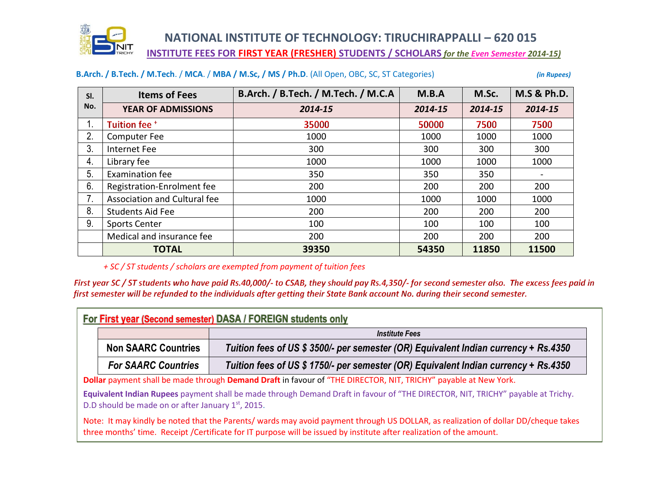

 **NATIONAL INSTITUTE OF TECHNOLOGY: TIRUCHIRAPPALLI – 620 015 INSTITUTE FEES FOR FIRST YEAR (FRESHER) STUDENTS / SCHOLARS** *for the Even Semester 2014-15)* 

### **B.Arch. / B.Tech. / M.Tech**. / **MCA**. / **MBA / M.Sc, / MS / Ph.D**. (All Open, OBC, SC, ST Categories) *(in Rupees)*

| SI. | <b>Items of Fees</b>         | B.Arch. / B.Tech. / M.Tech. / M.C.A | M.B.A   | M.Sc.   | <b>M.S &amp; Ph.D.</b> |
|-----|------------------------------|-------------------------------------|---------|---------|------------------------|
| No. | YEAR OF ADMISSIONS           | 2014-15                             | 2014-15 | 2014-15 | 2014-15                |
|     | Tuition fee +                | 35000                               | 50000   | 7500    | 7500                   |
| 2.  | <b>Computer Fee</b>          | 1000                                | 1000    | 1000    | 1000                   |
| 3.  | Internet Fee                 | 300                                 | 300     | 300     | 300                    |
| 4.  | Library fee                  | 1000                                | 1000    | 1000    | 1000                   |
| 5.  | Examination fee              | 350                                 | 350     | 350     |                        |
| 6.  | Registration-Enrolment fee   | 200                                 | 200     | 200     | 200                    |
| 7.  | Association and Cultural fee | 1000                                | 1000    | 1000    | 1000                   |
| 8.  | <b>Students Aid Fee</b>      | 200                                 | 200     | 200     | 200                    |
| 9.  | <b>Sports Center</b>         | 100                                 | 100     | 100     | 100                    |
|     | Medical and insurance fee    | 200                                 | 200     | 200     | 200                    |
|     | <b>TOTAL</b>                 | 39350                               | 54350   | 11850   | 11500                  |

*+ SC / ST students / scholars are exempted from payment of tuition fees*

First year SC / ST students who have paid Rs.40,000/- to CSAB, they should pay Rs.4,350/- for second semester also. The excess fees paid in first semester will be refunded to the individuals after getting their State Bank account No. during their second semester.

|                                                                                                                 |                            | <b>Institute Fees</b>                                                                                                           |  |  |
|-----------------------------------------------------------------------------------------------------------------|----------------------------|---------------------------------------------------------------------------------------------------------------------------------|--|--|
|                                                                                                                 | <b>Non SAARC Countries</b> | Tuition fees of US \$ 3500/- per semester (OR) Equivalent Indian currency + Rs.4350                                             |  |  |
|                                                                                                                 | <b>For SAARC Countries</b> | Tuition fees of US \$ 1750/- per semester (OR) Equivalent Indian currency + Rs.4350                                             |  |  |
| Dollar payment shall be made through Demand Draft in favour of "THE DIRECTOR, NIT, TRICHY" payable at New York. |                            |                                                                                                                                 |  |  |
|                                                                                                                 |                            | Equivalent Indian Rupees payment shall be made through Demand Draft in favour of "THE DIRECTOR, NIT, TRICHY" payable at Trichy. |  |  |

Note: It may kindly be noted that the Parents/ wards may avoid payment through US DOLLAR, as realization of dollar DD/cheque takes three months' time. Receipt /Certificate for IT purpose will be issued by institute after realization of the amount.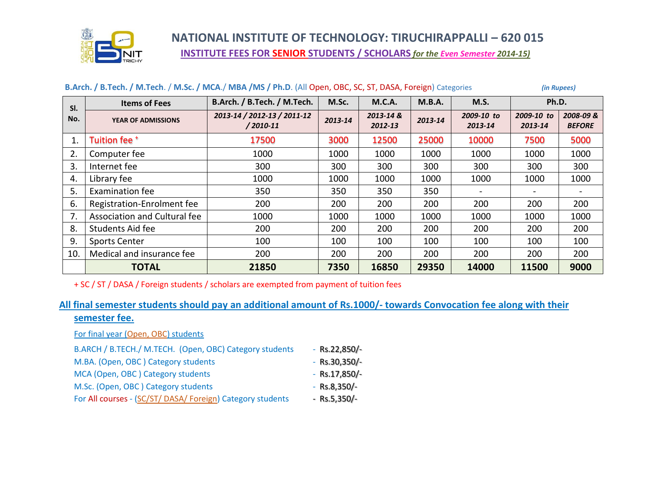

# **NATIONAL INSTITUTE OF TECHNOLOGY: TIRUCHIRAPPALLI – 620 015 INSTITUTE FEES FOR SENIOR STUDENTS / SCHOLARS** *for the Even Semester 2014-15)*

| SI.<br>No. | <b>Items of Fees</b>         | B.Arch. / B.Tech. / M.Tech.                 | M.Sc.   | <b>M.C.A.</b>        | M.B.A.  | <b>M.S.</b>           | Ph.D.                 |                           |
|------------|------------------------------|---------------------------------------------|---------|----------------------|---------|-----------------------|-----------------------|---------------------------|
|            | YEAR OF ADMISSIONS           | 2013-14 / 2012-13 / 2011-12<br>$/2010 - 11$ | 2013-14 | 2013-14 &<br>2012-13 | 2013-14 | 2009-10 to<br>2013-14 | 2009-10 to<br>2013-14 | 2008-09&<br><b>BEFORE</b> |
| 1.         | Tuition fee +                | 17500                                       | 3000    | 12500                | 25000   | 10000                 | 7500                  | 5000                      |
| 2.         | Computer fee                 | 1000                                        | 1000    | 1000                 | 1000    | 1000                  | 1000                  | 1000                      |
| 3.         | Internet fee                 | 300                                         | 300     | 300                  | 300     | 300                   | 300                   | 300                       |
| 4.         | Library fee                  | 1000                                        | 1000    | 1000                 | 1000    | 1000                  | 1000                  | 1000                      |
| 5.         | <b>Examination fee</b>       | 350                                         | 350     | 350                  | 350     |                       |                       |                           |
| 6.         | Registration-Enrolment fee   | 200                                         | 200     | 200                  | 200     | 200                   | 200                   | 200                       |
| 7.         | Association and Cultural fee | 1000                                        | 1000    | 1000                 | 1000    | 1000                  | 1000                  | 1000                      |
| 8.         | Students Aid fee             | 200                                         | 200     | 200                  | 200     | 200                   | 200                   | 200                       |
| 9.         | <b>Sports Center</b>         | 100                                         | 100     | 100                  | 100     | 100                   | 100                   | 100                       |
| 10.        | Medical and insurance fee    | 200                                         | 200     | 200                  | 200     | 200                   | 200                   | 200                       |
|            | <b>TOTAL</b>                 | 21850                                       | 7350    | 16850                | 29350   | 14000                 | 11500                 | 9000                      |

### **B.Arch. / B.Tech. / M.Tech**. / **M.Sc. / MCA**./ **MBA /MS / Ph.D**. (All Open, OBC, SC, ST, DASA, Foreign) Categories *(in Rupees)*

+ SC / ST / DASA / Foreign students / scholars are exempted from payment of tuition fees

## **All final semester students should pay an additional amount of Rs.1000/- towards Convocation fee along with their semester fee.**

For final year (Open, OBC) students

| B.ARCH / B.TECH./ M.TECH. (Open, OBC) Category students    | $-$ Rs.22,850/ $-$ |
|------------------------------------------------------------|--------------------|
| M.BA. (Open, OBC) Category students                        | $-$ Rs.30,350/ $-$ |
| MCA (Open, OBC) Category students                          | $-$ Rs.17,850/ $-$ |
| M.Sc. (Open, OBC) Category students                        | $-Rs.8,350/-$      |
| For All courses - (SC/ST/ DASA/ Foreign) Category students | $-Rs.5,350/-$      |